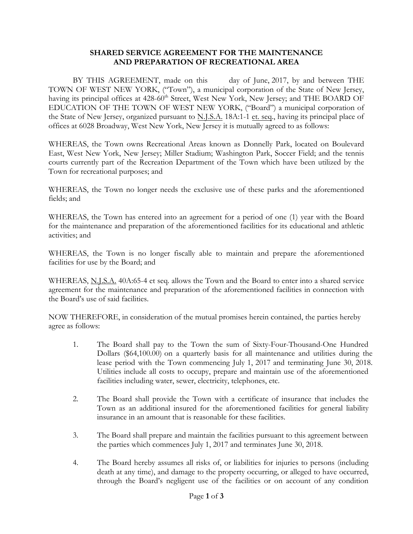## **SHARED SERVICE AGREEMENT FOR THE MAINTENANCE AND PREPARATION OF RECREATIONAL AREA**

BY THIS AGREEMENT, made on this day of June, 2017, by and between THE TOWN OF WEST NEW YORK, ("Town"), a municipal corporation of the State of New Jersey, having its principal offices at 428-60<sup>th</sup> Street, West New York, New Jersey; and THE BOARD OF EDUCATION OF THE TOWN OF WEST NEW YORK, ("Board") a municipal corporation of the State of New Jersey, organized pursuant to N.J.S.A. 18A:1-1 et. seq., having its principal place of offices at 6028 Broadway, West New York, New Jersey it is mutually agreed to as follows:

WHEREAS, the Town owns Recreational Areas known as Donnelly Park, located on Boulevard East, West New York, New Jersey; Miller Stadium; Washington Park, Soccer Field; and the tennis courts currently part of the Recreation Department of the Town which have been utilized by the Town for recreational purposes; and

WHEREAS, the Town no longer needs the exclusive use of these parks and the aforementioned fields; and

WHEREAS, the Town has entered into an agreement for a period of one (1) year with the Board for the maintenance and preparation of the aforementioned facilities for its educational and athletic activities; and

WHEREAS, the Town is no longer fiscally able to maintain and prepare the aforementioned facilities for use by the Board; and

WHEREAS, N.J.S.A. 40A:65-4 et seq. allows the Town and the Board to enter into a shared service agreement for the maintenance and preparation of the aforementioned facilities in connection with the Board's use of said facilities.

NOW THEREFORE, in consideration of the mutual promises herein contained, the parties hereby agree as follows:

- 1. The Board shall pay to the Town the sum of Sixty-Four-Thousand-One Hundred Dollars (\$64,100.00) on a quarterly basis for all maintenance and utilities during the lease period with the Town commencing July 1, 2017 and terminating June 30, 2018. Utilities include all costs to occupy, prepare and maintain use of the aforementioned facilities including water, sewer, electricity, telephones, etc.
- 2. The Board shall provide the Town with a certificate of insurance that includes the Town as an additional insured for the aforementioned facilities for general liability insurance in an amount that is reasonable for these facilities.
- 3. The Board shall prepare and maintain the facilities pursuant to this agreement between the parties which commences July 1, 2017 and terminates June 30, 2018.
- 4. The Board hereby assumes all risks of, or liabilities for injuries to persons (including death at any time), and damage to the property occurring, or alleged to have occurred, through the Board's negligent use of the facilities or on account of any condition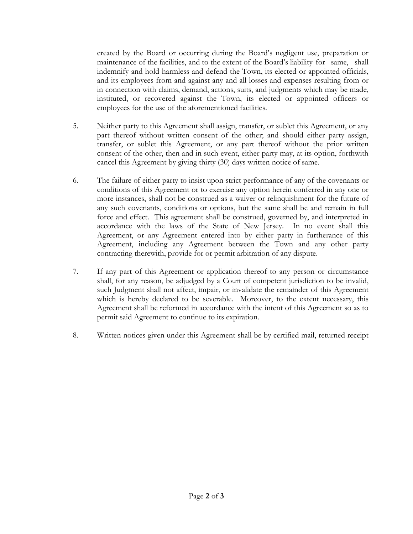created by the Board or occurring during the Board's negligent use, preparation or maintenance of the facilities, and to the extent of the Board's liability for same, shall indemnify and hold harmless and defend the Town, its elected or appointed officials, and its employees from and against any and all losses and expenses resulting from or in connection with claims, demand, actions, suits, and judgments which may be made, instituted, or recovered against the Town, its elected or appointed officers or employees for the use of the aforementioned facilities.

- 5. Neither party to this Agreement shall assign, transfer, or sublet this Agreement, or any part thereof without written consent of the other; and should either party assign, transfer, or sublet this Agreement, or any part thereof without the prior written consent of the other, then and in such event, either party may, at its option, forthwith cancel this Agreement by giving thirty (30) days written notice of same.
- 6. The failure of either party to insist upon strict performance of any of the covenants or conditions of this Agreement or to exercise any option herein conferred in any one or more instances, shall not be construed as a waiver or relinquishment for the future of any such covenants, conditions or options, but the same shall be and remain in full force and effect. This agreement shall be construed, governed by, and interpreted in accordance with the laws of the State of New Jersey. In no event shall this Agreement, or any Agreement entered into by either party in furtherance of this Agreement, including any Agreement between the Town and any other party contracting therewith, provide for or permit arbitration of any dispute.
- 7. If any part of this Agreement or application thereof to any person or circumstance shall, for any reason, be adjudged by a Court of competent jurisdiction to be invalid, such Judgment shall not affect, impair, or invalidate the remainder of this Agreement which is hereby declared to be severable. Moreover, to the extent necessary, this Agreement shall be reformed in accordance with the intent of this Agreement so as to permit said Agreement to continue to its expiration.
- 8. Written notices given under this Agreement shall be by certified mail, returned receipt